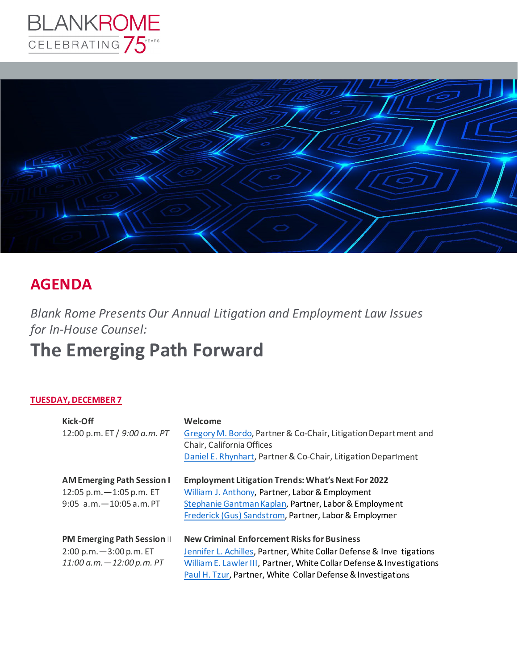



### **AGENDA**

*Blank Rome Presents Our Annual Litigation and Employment Law Issues for In-House Counsel:*

## **The Emerging Path Forward**

#### **TUESDAY, DECEMBER 7**

| <b>Kick-Off</b><br>12:00 p.m. ET / 9:00 a.m. PT                                                    | Welcome<br>Gregory M. Bordo, Partner & Co-Chair, Litigation Department and<br>Chair, California Offices<br>Daniel E. Rhynhart, Partner & Co-Chair, Litigation Department                                                                                            |
|----------------------------------------------------------------------------------------------------|---------------------------------------------------------------------------------------------------------------------------------------------------------------------------------------------------------------------------------------------------------------------|
| <b>AM Emerging Path Session I</b><br>12:05 p.m. $-1:05$ p.m. ET<br>$9:05$ a.m. $-10:05$ a.m. PT    | <b>Employment Litigation Trends: What's Next For 2022</b><br>William J. Anthony, Partner, Labor & Employment<br>Stephanie Gantman Kaplan, Partner, Labor & Employment<br>Frederick (Gus) Sandstrom, Partner, Labor & Employmen                                      |
| <b>PM Emerging Path Session II</b><br>$2:00 p.m. - 3:00 p.m. E T$<br>$11:00$ a.m. $-12:00$ p.m. PT | <b>New Criminal Enforcement Risks for Business</b><br>Jennifer L. Achilles, Partner, White Collar Defense & Inve tigations<br>William E. Lawler III, Partner, White Collar Defense & Investigations<br>Paul H. Tzur, Partner, White Collar Defense & Investigations |